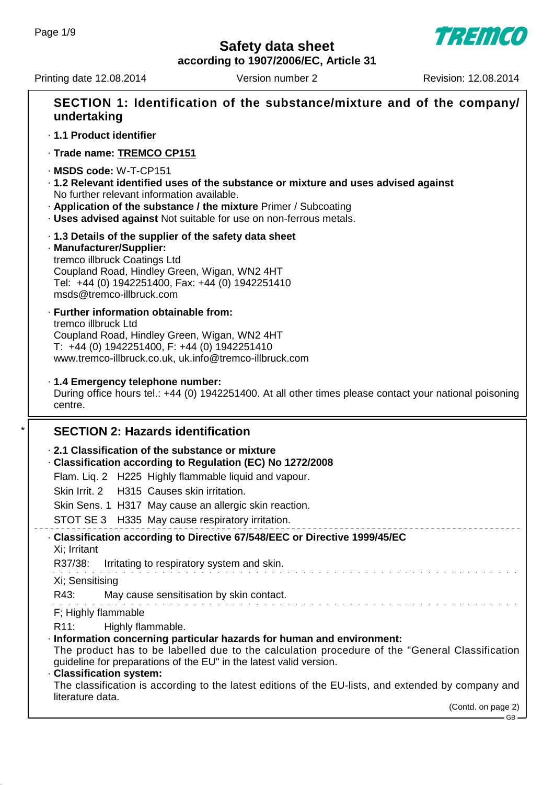**Safety data sheet**

**TREMCO** 

**according to 1907/2006/EC, Article 31**

Printing date 12.08.2014 Version number 2 Revision: 12.08.2014

GB

| SECTION 1: Identification of the substance/mixture and of the company/<br>undertaking                                                                                                                                                                                                                 |
|-------------------------------------------------------------------------------------------------------------------------------------------------------------------------------------------------------------------------------------------------------------------------------------------------------|
| · 1.1 Product identifier                                                                                                                                                                                                                                                                              |
| · Trade name: TREMCO CP151                                                                                                                                                                                                                                                                            |
| · MSDS code: W-T-CP151<br>· 1.2 Relevant identified uses of the substance or mixture and uses advised against<br>No further relevant information available.<br>. Application of the substance / the mixture Primer / Subcoating<br>. Uses advised against Not suitable for use on non-ferrous metals. |
| .1.3 Details of the supplier of the safety data sheet<br>· Manufacturer/Supplier:<br>tremco illbruck Coatings Ltd<br>Coupland Road, Hindley Green, Wigan, WN2 4HT<br>Tel: +44 (0) 1942251400, Fax: +44 (0) 1942251410<br>msds@tremco-illbruck.com                                                     |
| · Further information obtainable from:<br>tremco illbruck Ltd<br>Coupland Road, Hindley Green, Wigan, WN2 4HT<br>$T: +44$ (0) 1942251400, F: +44 (0) 1942251410<br>www.tremco-illbruck.co.uk, uk.info@tremco-illbruck.com                                                                             |
| · 1.4 Emergency telephone number:<br>During office hours tel.: +44 (0) 1942251400. At all other times please contact your national poisoning<br>centre.                                                                                                                                               |
| <b>SECTION 2: Hazards identification</b>                                                                                                                                                                                                                                                              |
| 2.1 Classification of the substance or mixture<br>Classification according to Regulation (EC) No 1272/2008                                                                                                                                                                                            |
| Flam. Lig. 2 H225 Highly flammable liquid and vapour.                                                                                                                                                                                                                                                 |
| Skin Irrit. 2 H315 Causes skin irritation.                                                                                                                                                                                                                                                            |
| Skin Sens. 1 H317 May cause an allergic skin reaction.                                                                                                                                                                                                                                                |
| STOT SE 3 H335 May cause respiratory irritation.                                                                                                                                                                                                                                                      |
| · Classification according to Directive 67/548/EEC or Directive 1999/45/EC<br>Xi; Irritant                                                                                                                                                                                                            |
| R37/38:<br>Irritating to respiratory system and skin.                                                                                                                                                                                                                                                 |
| Xi; Sensitising                                                                                                                                                                                                                                                                                       |
| R43:<br>May cause sensitisation by skin contact.                                                                                                                                                                                                                                                      |
| F; Highly flammable                                                                                                                                                                                                                                                                                   |
| R <sub>11</sub> :<br>Highly flammable.<br>· Information concerning particular hazards for human and environment:<br>The product has to be labelled due to the calculation procedure of the "General Classification<br>guideline for preparations of the EU" in the latest valid version.              |
| · Classification system:<br>The classification is according to the latest editions of the EU-lists, and extended by company and                                                                                                                                                                       |
| literature data.<br>(Contd. on page 2)                                                                                                                                                                                                                                                                |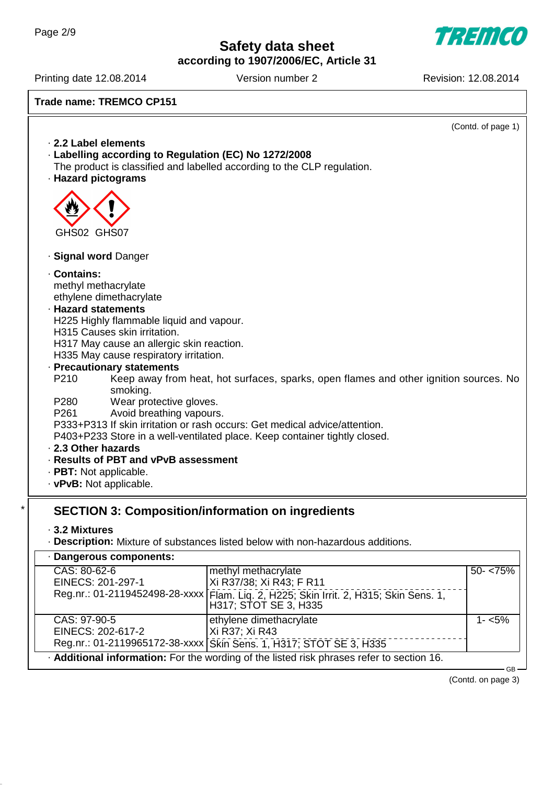TREMCO

**according to 1907/2006/EC, Article 31**

Printing date 12.08.2014 Version number 2 Revision: 12.08.2014

## **Trade name: TREMCO CP151**

|                                     |                                                       |                                                                                       | (Contd. of page 1) |
|-------------------------------------|-------------------------------------------------------|---------------------------------------------------------------------------------------|--------------------|
|                                     | 2.2 Label elements                                    |                                                                                       |                    |
|                                     | · Labelling according to Regulation (EC) No 1272/2008 |                                                                                       |                    |
|                                     |                                                       | The product is classified and labelled according to the CLP regulation.               |                    |
|                                     | · Hazard pictograms                                   |                                                                                       |                    |
|                                     |                                                       |                                                                                       |                    |
|                                     |                                                       |                                                                                       |                    |
|                                     |                                                       |                                                                                       |                    |
|                                     | GHS02 GHS07                                           |                                                                                       |                    |
|                                     |                                                       |                                                                                       |                    |
|                                     | · Signal word Danger                                  |                                                                                       |                    |
|                                     | Contains:                                             |                                                                                       |                    |
|                                     | methyl methacrylate                                   |                                                                                       |                    |
|                                     | ethylene dimethacrylate                               |                                                                                       |                    |
|                                     | · Hazard statements                                   |                                                                                       |                    |
|                                     | H225 Highly flammable liquid and vapour.              |                                                                                       |                    |
|                                     | H315 Causes skin irritation.                          |                                                                                       |                    |
|                                     | H317 May cause an allergic skin reaction.             |                                                                                       |                    |
|                                     | H335 May cause respiratory irritation.                |                                                                                       |                    |
|                                     | · Precautionary statements                            |                                                                                       |                    |
|                                     | P210                                                  | Keep away from heat, hot surfaces, sparks, open flames and other ignition sources. No |                    |
|                                     | smoking.                                              |                                                                                       |                    |
|                                     | Wear protective gloves.<br>P280<br>P261               |                                                                                       |                    |
|                                     | Avoid breathing vapours.                              | P333+P313 If skin irritation or rash occurs: Get medical advice/attention.            |                    |
|                                     |                                                       | P403+P233 Store in a well-ventilated place. Keep container tightly closed.            |                    |
|                                     | 2.3 Other hazards                                     |                                                                                       |                    |
|                                     | . Results of PBT and vPvB assessment                  |                                                                                       |                    |
|                                     | · PBT: Not applicable.                                |                                                                                       |                    |
|                                     | · vPvB: Not applicable.                               |                                                                                       |                    |
|                                     |                                                       |                                                                                       |                    |
|                                     |                                                       | <b>SECTION 3: Composition/information on ingredients</b>                              |                    |
|                                     |                                                       |                                                                                       |                    |
|                                     | ⋅ 3.2 Mixtures                                        |                                                                                       |                    |
|                                     |                                                       | · Description: Mixture of substances listed below with non-hazardous additions.       |                    |
|                                     | · Dangerous components:                               |                                                                                       |                    |
| CAS: 80-62-6<br>methyl methacrylate |                                                       | $50 - 75%$                                                                            |                    |
|                                     | EINECS: 201-297-1                                     | Xi R37/38; Xi R43; F R11                                                              |                    |
|                                     | Reg.nr.: 01-2119452498-28-xxxx                        | Flam. Liq. 2, H225; Skin Irrit. 2, H315; Skin Sens. 1,                                |                    |
|                                     |                                                       | H317; STOT SE 3, H335                                                                 |                    |
|                                     | CAS: 97-90-5                                          | ethylene dimethacrylate                                                               | $1 - 5%$           |
|                                     | EINECS: 202-617-2                                     | Xi R37; Xi R43                                                                        |                    |
|                                     |                                                       | Reg.nr.: 01-2119965172-38-xxxx Skin Sens. 1, H317; STOT SE 3, H335                    |                    |

· **Additional information:** For the wording of the listed risk phrases refer to section 16.

(Contd. on page 3)

GB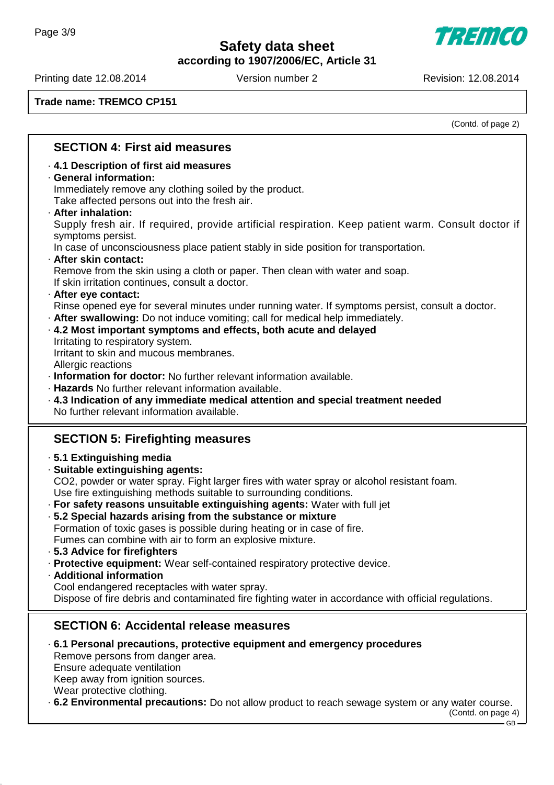7777111 de

**according to 1907/2006/EC, Article 31**

Printing date 12.08.2014 Version number 2 Revision: 12.08.2014

**Trade name: TREMCO CP151**

(Contd. of page 2)

## **SECTION 4: First aid measures**

### · **4.1 Description of first aid measures**

#### · **General information:**

Immediately remove any clothing soiled by the product.

Take affected persons out into the fresh air.

#### · **After inhalation:**

Supply fresh air. If required, provide artificial respiration. Keep patient warm. Consult doctor if symptoms persist.

In case of unconsciousness place patient stably in side position for transportation.

#### · **After skin contact:**

Remove from the skin using a cloth or paper. Then clean with water and soap. If skin irritation continues, consult a doctor.

#### · **After eye contact:**

Rinse opened eye for several minutes under running water. If symptoms persist, consult a doctor.

- · **After swallowing:** Do not induce vomiting; call for medical help immediately.
- · **4.2 Most important symptoms and effects, both acute and delayed** Irritating to respiratory system.

Irritant to skin and mucous membranes.

Allergic reactions

· **Information for doctor:** No further relevant information available.

- · **Hazards** No further relevant information available.
- · **4.3 Indication of any immediate medical attention and special treatment needed** No further relevant information available.

## **SECTION 5: Firefighting measures**

- · **5.1 Extinguishing media**
- · **Suitable extinguishing agents:**

CO2, powder or water spray. Fight larger fires with water spray or alcohol resistant foam. Use fire extinguishing methods suitable to surrounding conditions.

· **For safety reasons unsuitable extinguishing agents:** Water with full jet

- · **5.2 Special hazards arising from the substance or mixture** Formation of toxic gases is possible during heating or in case of fire. Fumes can combine with air to form an explosive mixture.
- · **5.3 Advice for firefighters**
- · **Protective equipment:** Wear self-contained respiratory protective device.
- · **Additional information** Cool endangered receptacles with water spray. Dispose of fire debris and contaminated fire fighting water in accordance with official regulations.

## **SECTION 6: Accidental release measures**

- · **6.1 Personal precautions, protective equipment and emergency procedures** Remove persons from danger area. Ensure adequate ventilation Keep away from ignition sources. Wear protective clothing.
- · **6.2 Environmental precautions:** Do not allow product to reach sewage system or any water course.

(Contd. on page 4)

 $GR$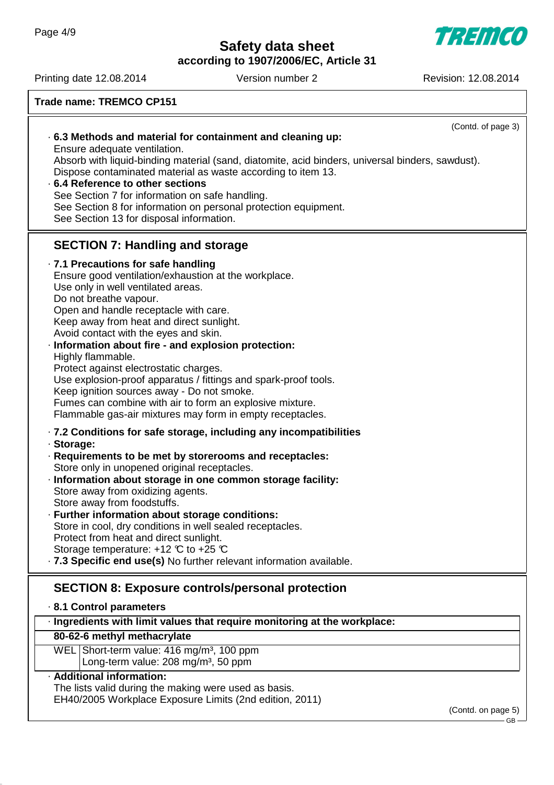**TREMCO** 

**according to 1907/2006/EC, Article 31**

Printing date 12.08.2014 Version number 2 Revision: 12.08.2014

| <b>Trade name: TREMCO CP151</b>                                                                                                                                                                                                                                                                                                                                                                                                                                                                                                                                                                                                                            |  |  |
|------------------------------------------------------------------------------------------------------------------------------------------------------------------------------------------------------------------------------------------------------------------------------------------------------------------------------------------------------------------------------------------------------------------------------------------------------------------------------------------------------------------------------------------------------------------------------------------------------------------------------------------------------------|--|--|
| (Contd. of page 3)<br>.6.3 Methods and material for containment and cleaning up:<br>Ensure adequate ventilation.<br>Absorb with liquid-binding material (sand, diatomite, acid binders, universal binders, sawdust).<br>Dispose contaminated material as waste according to item 13.<br>.6.4 Reference to other sections<br>See Section 7 for information on safe handling.<br>See Section 8 for information on personal protection equipment.<br>See Section 13 for disposal information.                                                                                                                                                                 |  |  |
| <b>SECTION 7: Handling and storage</b>                                                                                                                                                                                                                                                                                                                                                                                                                                                                                                                                                                                                                     |  |  |
| · 7.1 Precautions for safe handling<br>Ensure good ventilation/exhaustion at the workplace.<br>Use only in well ventilated areas.<br>Do not breathe vapour.<br>Open and handle receptacle with care.<br>Keep away from heat and direct sunlight.<br>Avoid contact with the eyes and skin.<br>· Information about fire - and explosion protection:<br>Highly flammable.<br>Protect against electrostatic charges.<br>Use explosion-proof apparatus / fittings and spark-proof tools.<br>Keep ignition sources away - Do not smoke.<br>Fumes can combine with air to form an explosive mixture.<br>Flammable gas-air mixtures may form in empty receptacles. |  |  |
| .7.2 Conditions for safe storage, including any incompatibilities<br>· Storage:<br>· Requirements to be met by storerooms and receptacles:<br>Store only in unopened original receptacles.<br>· Information about storage in one common storage facility:<br>Store away from oxidizing agents.<br>Store away from foodstuffs.<br>· Further information about storage conditions:<br>Store in cool, dry conditions in well sealed receptacles.<br>Protect from heat and direct sunlight.<br>Storage temperature: $+12$ °C to $+25$ °C<br>· 7.3 Specific end use(s) No further relevant information available.                                               |  |  |
| <b>SECTION 8: Exposure controls/personal protection</b><br>8.1 Control parameters                                                                                                                                                                                                                                                                                                                                                                                                                                                                                                                                                                          |  |  |
| · Ingredients with limit values that require monitoring at the workplace:<br>80-62-6 methyl methacrylate                                                                                                                                                                                                                                                                                                                                                                                                                                                                                                                                                   |  |  |
| WEL Short-term value: 416 mg/m <sup>3</sup> , 100 ppm<br>Long-term value: 208 mg/m <sup>3</sup> , 50 ppm                                                                                                                                                                                                                                                                                                                                                                                                                                                                                                                                                   |  |  |
| · Additional information:                                                                                                                                                                                                                                                                                                                                                                                                                                                                                                                                                                                                                                  |  |  |
| The lists valid during the making were used as basis.<br>EH40/2005 Workplace Exposure Limits (2nd edition, 2011)                                                                                                                                                                                                                                                                                                                                                                                                                                                                                                                                           |  |  |
| (Contd. on page 5)                                                                                                                                                                                                                                                                                                                                                                                                                                                                                                                                                                                                                                         |  |  |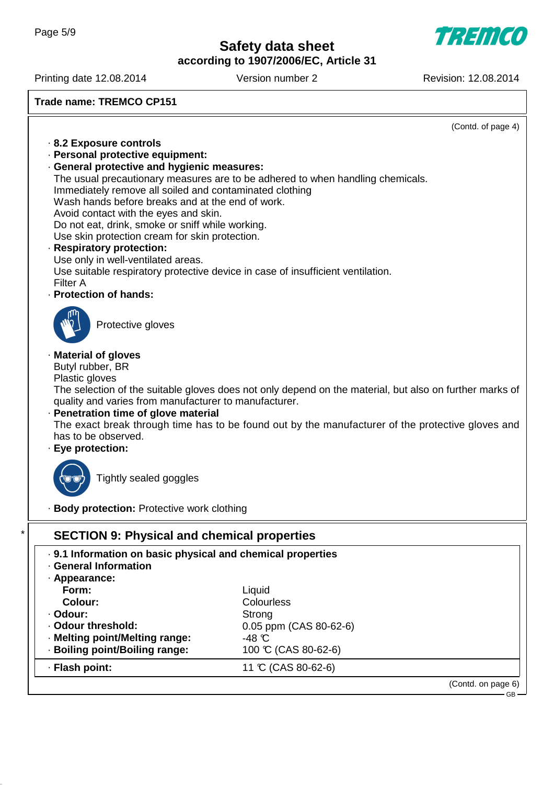**according to 1907/2006/EC, Article 31**

**TREMCO** 

Printing date 12.08.2014 Version number 2 Revision: 12.08.2014

**Trade name: TREMCO CP151**

|                                                                                                             | (Contd. of page 4)                                                                                      |
|-------------------------------------------------------------------------------------------------------------|---------------------------------------------------------------------------------------------------------|
| 8.2 Exposure controls                                                                                       |                                                                                                         |
| · Personal protective equipment:                                                                            |                                                                                                         |
| · General protective and hygienic measures:                                                                 |                                                                                                         |
|                                                                                                             | The usual precautionary measures are to be adhered to when handling chemicals.                          |
| Immediately remove all soiled and contaminated clothing<br>Wash hands before breaks and at the end of work. |                                                                                                         |
| Avoid contact with the eyes and skin.                                                                       |                                                                                                         |
| Do not eat, drink, smoke or sniff while working.                                                            |                                                                                                         |
| Use skin protection cream for skin protection.                                                              |                                                                                                         |
| · Respiratory protection:                                                                                   |                                                                                                         |
| Use only in well-ventilated areas.                                                                          |                                                                                                         |
|                                                                                                             | Use suitable respiratory protective device in case of insufficient ventilation.                         |
| <b>Filter A</b>                                                                                             |                                                                                                         |
| · Protection of hands:                                                                                      |                                                                                                         |
|                                                                                                             |                                                                                                         |
| Protective gloves                                                                                           |                                                                                                         |
|                                                                                                             |                                                                                                         |
| · Material of gloves                                                                                        |                                                                                                         |
| Butyl rubber, BR                                                                                            |                                                                                                         |
| Plastic gloves                                                                                              |                                                                                                         |
|                                                                                                             | The selection of the suitable gloves does not only depend on the material, but also on further marks of |
| quality and varies from manufacturer to manufacturer.                                                       |                                                                                                         |
| · Penetration time of glove material                                                                        |                                                                                                         |
| has to be observed.                                                                                         | The exact break through time has to be found out by the manufacturer of the protective gloves and       |
| · Eye protection:                                                                                           |                                                                                                         |
|                                                                                                             |                                                                                                         |
|                                                                                                             |                                                                                                         |
| Tightly sealed goggles                                                                                      |                                                                                                         |
|                                                                                                             |                                                                                                         |
| · Body protection: Protective work clothing                                                                 |                                                                                                         |
| <b>SECTION 9: Physical and chemical properties</b>                                                          |                                                                                                         |
|                                                                                                             |                                                                                                         |
| . 9.1 Information on basic physical and chemical properties                                                 |                                                                                                         |
| · General Information                                                                                       |                                                                                                         |
| · Appearance:                                                                                               |                                                                                                         |
| Form:<br>Colour:                                                                                            | Liquid<br>Colourless                                                                                    |
| · Odour:                                                                                                    | Strong                                                                                                  |
| · Odour threshold:                                                                                          | 0.05 ppm (CAS 80-62-6)                                                                                  |
| · Melting point/Melting range:                                                                              | $-48$ $C$                                                                                               |
| · Boiling point/Boiling range:                                                                              | 100 °C (CAS 80-62-6)                                                                                    |
| · Flash point:                                                                                              | 11 °C (CAS 80-62-6)                                                                                     |
|                                                                                                             |                                                                                                         |
|                                                                                                             | (Contd. on page 6)                                                                                      |

–<br>– GB –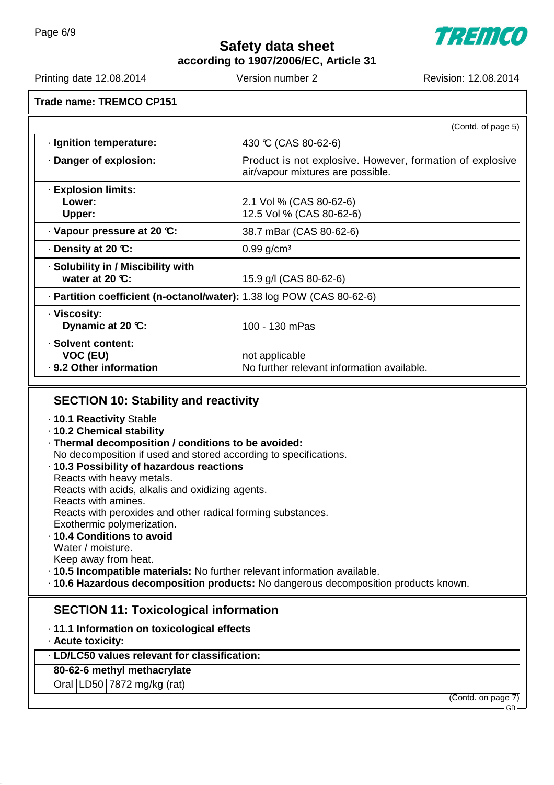**TREMCO** 

**according to 1907/2006/EC, Article 31**

Printing date 12.08.2014 Version number 2 Revision: 12.08.2014

**Trade name: TREMCO CP151**

|                                                                                                                                                                                                                                                                                                                                                                                                                                                                                                                                                                                            | (Contd. of page 5)                                                                             |
|--------------------------------------------------------------------------------------------------------------------------------------------------------------------------------------------------------------------------------------------------------------------------------------------------------------------------------------------------------------------------------------------------------------------------------------------------------------------------------------------------------------------------------------------------------------------------------------------|------------------------------------------------------------------------------------------------|
| · Ignition temperature:                                                                                                                                                                                                                                                                                                                                                                                                                                                                                                                                                                    | 430 °C (CAS 80-62-6)                                                                           |
| · Danger of explosion:                                                                                                                                                                                                                                                                                                                                                                                                                                                                                                                                                                     | Product is not explosive. However, formation of explosive<br>air/vapour mixtures are possible. |
| · Explosion limits:<br>Lower:<br>Upper:                                                                                                                                                                                                                                                                                                                                                                                                                                                                                                                                                    | 2.1 Vol % (CAS 80-62-6)<br>12.5 Vol % (CAS 80-62-6)                                            |
| Vapour pressure at 20 °C:                                                                                                                                                                                                                                                                                                                                                                                                                                                                                                                                                                  | 38.7 mBar (CAS 80-62-6)                                                                        |
| . Density at 20 ℃:                                                                                                                                                                                                                                                                                                                                                                                                                                                                                                                                                                         | $0.99$ g/cm <sup>3</sup>                                                                       |
| · Solubility in / Miscibility with<br>water at 20 $C$ :                                                                                                                                                                                                                                                                                                                                                                                                                                                                                                                                    | 15.9 g/l (CAS 80-62-6)                                                                         |
| · Partition coefficient (n-octanol/water): 1.38 log POW (CAS 80-62-6)                                                                                                                                                                                                                                                                                                                                                                                                                                                                                                                      |                                                                                                |
| · Viscosity:<br>Dynamic at 20 °C:                                                                                                                                                                                                                                                                                                                                                                                                                                                                                                                                                          | 100 - 130 mPas                                                                                 |
| · Solvent content:<br>VOC (EU)<br>· 9.2 Other information                                                                                                                                                                                                                                                                                                                                                                                                                                                                                                                                  | not applicable<br>No further relevant information available.                                   |
| . 10.1 Reactivity Stable<br>· 10.2 Chemical stability<br>· Thermal decomposition / conditions to be avoided:<br>No decomposition if used and stored according to specifications.<br>· 10.3 Possibility of hazardous reactions<br>Reacts with heavy metals.<br>Reacts with acids, alkalis and oxidizing agents.<br>Reacts with amines.<br>Reacts with peroxides and other radical forming substances.<br>Exothermic polymerization.<br>· 10.4 Conditions to avoid<br>Water / moisture.<br>Keep away from heat.<br>. 10.5 Incompatible materials: No further relevant information available. | · 10.6 Hazardous decomposition products: No dangerous decomposition products known.            |
| <b>SECTION 11: Toxicological information</b><br>· 11.1 Information on toxicological effects<br>· Acute toxicity:<br>· LD/LC50 values relevant for classification:<br>80-62-6 methyl methacrylate<br>Oral LD50 7872 mg/kg (rat)                                                                                                                                                                                                                                                                                                                                                             |                                                                                                |
|                                                                                                                                                                                                                                                                                                                                                                                                                                                                                                                                                                                            | (Contd. on page 7)<br>GB-                                                                      |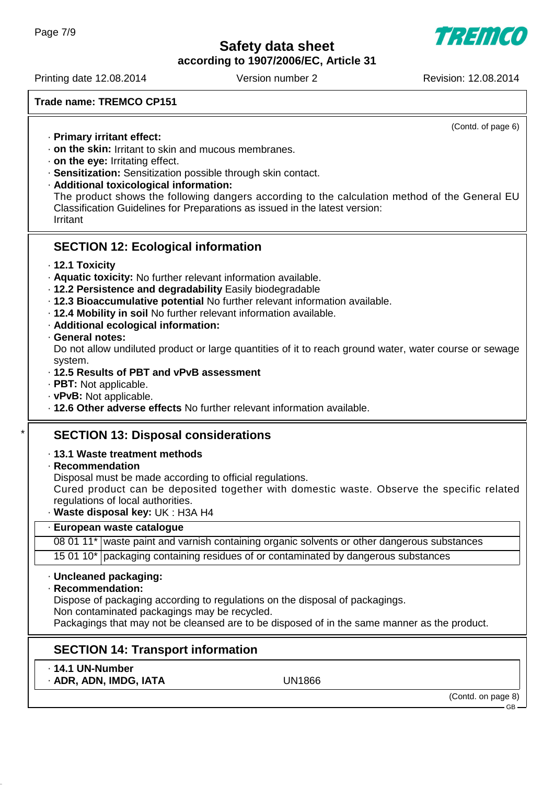**according to 1907/2006/EC, Article 31**

Printing date 12.08.2014 Version number 2 Revision: 12.08.2014

**Trade name: TREMCO CP151**

(Contd. of page 6)

- · **Primary irritant effect:**
- · **on the skin:** Irritant to skin and mucous membranes.
- · **on the eye:** Irritating effect.
- · **Sensitization:** Sensitization possible through skin contact.
- · **Additional toxicological information:**

The product shows the following dangers according to the calculation method of the General EU Classification Guidelines for Preparations as issued in the latest version: Irritant

## **SECTION 12: Ecological information**

- · **12.1 Toxicity**
- · **Aquatic toxicity:** No further relevant information available.
- · **12.2 Persistence and degradability** Easily biodegradable
- · **12.3 Bioaccumulative potential** No further relevant information available.
- · **12.4 Mobility in soil** No further relevant information available.
- · **Additional ecological information:**
- · **General notes:**

Do not allow undiluted product or large quantities of it to reach ground water, water course or sewage system.

- · **12.5 Results of PBT and vPvB assessment**
- · **PBT:** Not applicable.
- · **vPvB:** Not applicable.
- · **12.6 Other adverse effects** No further relevant information available.

## **SECTION 13: Disposal considerations**

### · **13.1 Waste treatment methods**

· **Recommendation**

Disposal must be made according to official regulations.

Cured product can be deposited together with domestic waste. Observe the specific related regulations of local authorities.

· **Waste disposal key:** UK : H3A H4

### · **European waste catalogue**

08 01 11 $^*$  waste paint and varnish containing organic solvents or other dangerous substances 15 01 10\* packaging containing residues of or contaminated by dangerous substances

### · **Uncleaned packaging:**

· **Recommendation:**

Dispose of packaging according to regulations on the disposal of packagings.

Non contaminated packagings may be recycled.

Packagings that may not be cleansed are to be disposed of in the same manner as the product.

## **SECTION 14: Transport information**

- · **14.1 UN-Number**
- · **ADR, ADN, IMDG, IATA** UN1866

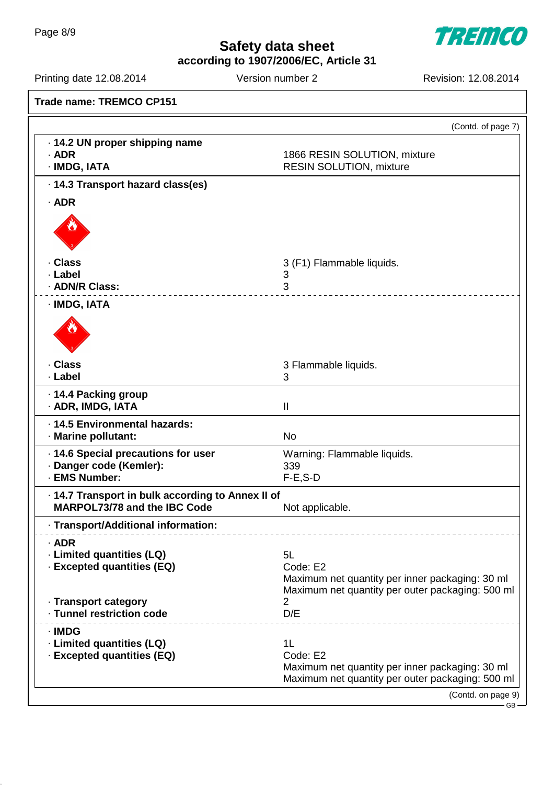**TREMCO** 

**according to 1907/2006/EC, Article 31**

Printing date 12.08.2014 Version number 2 Revision: 12.08.2014

|                                                   | (Contd. of page 7)                                                                                  |
|---------------------------------------------------|-----------------------------------------------------------------------------------------------------|
| · 14.2 UN proper shipping name                    |                                                                                                     |
| $·$ ADR                                           | 1866 RESIN SOLUTION, mixture                                                                        |
| · IMDG, IATA                                      | <b>RESIN SOLUTION, mixture</b>                                                                      |
| · 14.3 Transport hazard class(es)                 |                                                                                                     |
| $·$ ADR                                           |                                                                                                     |
|                                                   |                                                                                                     |
|                                                   |                                                                                                     |
|                                                   |                                                                                                     |
| · Class                                           | 3 (F1) Flammable liquids.                                                                           |
| · Label                                           | 3                                                                                                   |
| · ADN/R Class:                                    | 3                                                                                                   |
| · IMDG, IATA                                      |                                                                                                     |
|                                                   |                                                                                                     |
|                                                   |                                                                                                     |
|                                                   |                                                                                                     |
| · Class                                           | 3 Flammable liquids.                                                                                |
| · Label                                           | 3                                                                                                   |
| · 14.4 Packing group                              |                                                                                                     |
| · ADR, IMDG, IATA                                 | $\mathbf{II}$                                                                                       |
| · 14.5 Environmental hazards:                     |                                                                                                     |
| · Marine pollutant:                               | <b>No</b>                                                                                           |
| · 14.6 Special precautions for user               | Warning: Flammable liquids.                                                                         |
| · Danger code (Kemler):                           | 339                                                                                                 |
| · EMS Number:                                     | $F-E$ , S-D                                                                                         |
| · 14.7 Transport in bulk according to Annex II of |                                                                                                     |
| MARPOL73/78 and the IBC Code                      | Not applicable.                                                                                     |
| · Transport/Additional information:               |                                                                                                     |
| $·$ ADR                                           |                                                                                                     |
| · Limited quantities (LQ)                         | 5L                                                                                                  |
| · Excepted quantities (EQ)                        | Code: E2                                                                                            |
|                                                   | Maximum net quantity per inner packaging: 30 ml<br>Maximum net quantity per outer packaging: 500 ml |
| · Transport category                              | 2                                                                                                   |
| · Tunnel restriction code                         | D/E                                                                                                 |
| · IMDG                                            | ___________________________                                                                         |
| · Limited quantities (LQ)                         | 1L                                                                                                  |
| · Excepted quantities (EQ)                        | Code: E2                                                                                            |
|                                                   | Maximum net quantity per inner packaging: 30 ml                                                     |
|                                                   | Maximum net quantity per outer packaging: 500 ml                                                    |